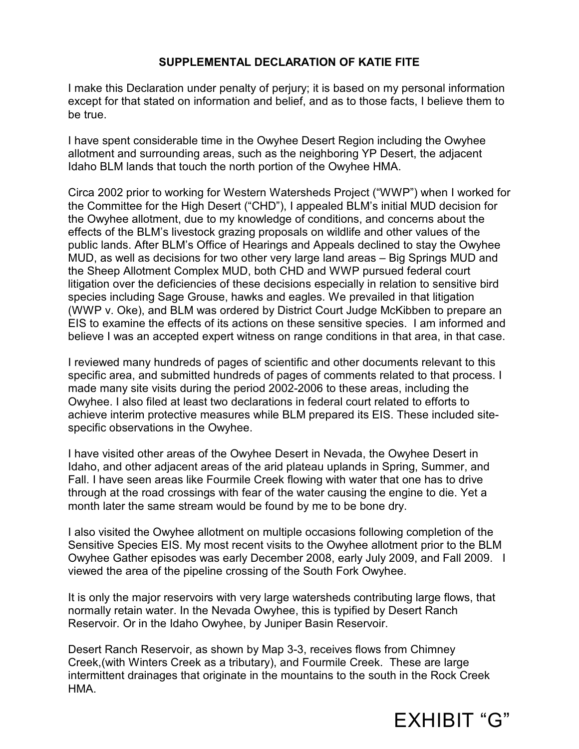## **SUPPLEMENTAL DECLARATION OF KATIE FITE**

I make this Declaration under penalty of perjury; it is based on my personal information except for that stated on information and belief, and as to those facts, I believe them to be true.

I have spent considerable time in the Owyhee Desert Region including the Owyhee allotment and surrounding areas, such as the neighboring YP Desert, the adjacent Idaho BLM lands that touch the north portion of the Owyhee HMA.

Circa 2002 prior to working for Western Watersheds Project ("WWP") when I worked for the Committee for the High Desert ("CHD"), I appealed BLM's initial MUD decision for the Owyhee allotment, due to my knowledge of conditions, and concerns about the effects of the BLM's livestock grazing proposals on wildlife and other values of the public lands. After BLM's Office of Hearings and Appeals declined to stay the Owyhee MUD, as well as decisions for two other very large land areas – Big Springs MUD and the Sheep Allotment Complex MUD, both CHD and WWP pursued federal court litigation over the deficiencies of these decisions especially in relation to sensitive bird species including Sage Grouse, hawks and eagles. We prevailed in that litigation (WWP v. Oke), and BLM was ordered by District Court Judge McKibben to prepare an EIS to examine the effects of its actions on these sensitive species. I am informed and believe I was an accepted expert witness on range conditions in that area, in that case.

I reviewed many hundreds of pages of scientific and other documents relevant to this specific area, and submitted hundreds of pages of comments related to that process. I made many site visits during the period 2002-2006 to these areas, including the Owyhee. I also filed at least two declarations in federal court related to efforts to achieve interim protective measures while BLM prepared its EIS. These included sitespecific observations in the Owyhee.

I have visited other areas of the Owyhee Desert in Nevada, the Owyhee Desert in Idaho, and other adjacent areas of the arid plateau uplands in Spring, Summer, and Fall. I have seen areas like Fourmile Creek flowing with water that one has to drive through at the road crossings with fear of the water causing the engine to die. Yet a month later the same stream would be found by me to be bone dry.

I also visited the Owyhee allotment on multiple occasions following completion of the Sensitive Species EIS. My most recent visits to the Owyhee allotment prior to the BLM Owyhee Gather episodes was early December 2008, early July 2009, and Fall 2009. I viewed the area of the pipeline crossing of the South Fork Owyhee.

It is only the major reservoirs with very large watersheds contributing large flows, that normally retain water. In the Nevada Owyhee, this is typified by Desert Ranch Reservoir. Or in the Idaho Owyhee, by Juniper Basin Reservoir.

Desert Ranch Reservoir, as shown by Map 3-3, receives flows from Chimney Creek,(with Winters Creek as a tributary), and Fourmile Creek. These are large intermittent drainages that originate in the mountains to the south in the Rock Creek HMA.

## EXHIBIT "G"